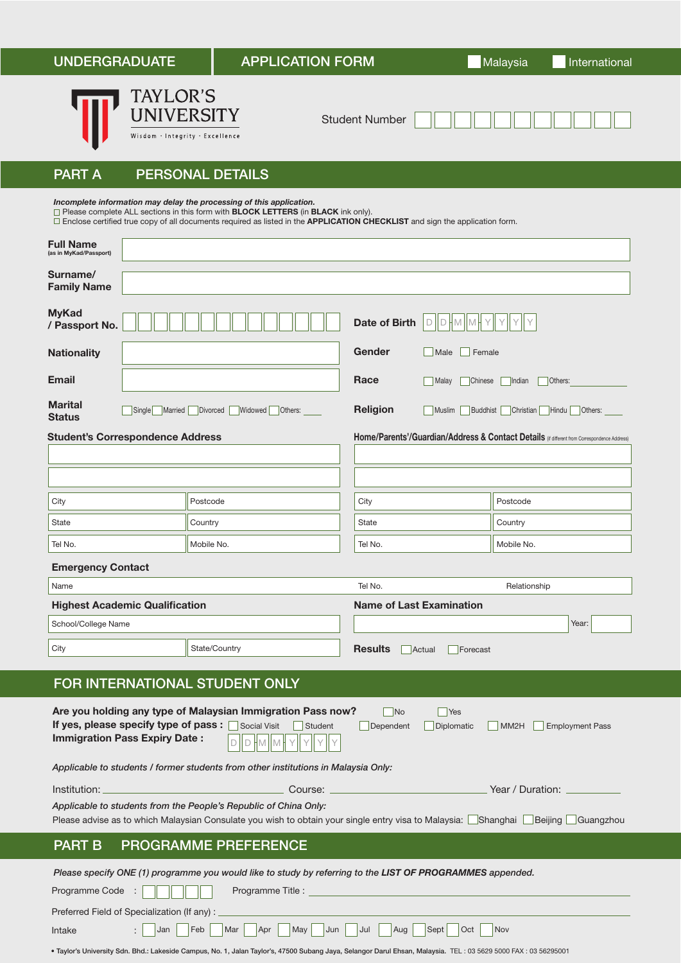| <b>UNDERGRADUATE</b>                                                                                                                                                                                                                                                         |                                                                  | <b>APPLICATION FORM</b>                                                                                                                                                                                                                                                                                                     |                                              | Malaysia<br>International                                                                   |  |
|------------------------------------------------------------------------------------------------------------------------------------------------------------------------------------------------------------------------------------------------------------------------------|------------------------------------------------------------------|-----------------------------------------------------------------------------------------------------------------------------------------------------------------------------------------------------------------------------------------------------------------------------------------------------------------------------|----------------------------------------------|---------------------------------------------------------------------------------------------|--|
|                                                                                                                                                                                                                                                                              | <b>TAYLOR'S</b><br>UNIVERSITY<br>Wisdom · Integrity · Excellence |                                                                                                                                                                                                                                                                                                                             | <b>Student Number</b>                        |                                                                                             |  |
| <b>PART A</b>                                                                                                                                                                                                                                                                |                                                                  | <b>PERSONAL DETAILS</b>                                                                                                                                                                                                                                                                                                     |                                              |                                                                                             |  |
|                                                                                                                                                                                                                                                                              |                                                                  | Incomplete information may delay the processing of this application.<br>$\Box$ Please complete ALL sections in this form with <b>BLOCK LETTERS</b> (in <b>BLACK</b> ink only).<br>$\Box$ Enclose certified true copy of all documents required as listed in the <b>APPLICATION CHECKLIST</b> and sign the application form. |                                              |                                                                                             |  |
| <b>Full Name</b><br>(as in MyKad/Passport)                                                                                                                                                                                                                                   |                                                                  |                                                                                                                                                                                                                                                                                                                             |                                              |                                                                                             |  |
| Surname/<br><b>Family Name</b>                                                                                                                                                                                                                                               |                                                                  |                                                                                                                                                                                                                                                                                                                             |                                              |                                                                                             |  |
| <b>MyKad</b><br>/ Passport No.                                                                                                                                                                                                                                               |                                                                  |                                                                                                                                                                                                                                                                                                                             | <b>Date of Birth</b><br>DIDHM<br>M           |                                                                                             |  |
| <b>Nationality</b>                                                                                                                                                                                                                                                           |                                                                  |                                                                                                                                                                                                                                                                                                                             | Gender<br>Female<br>Male                     |                                                                                             |  |
| <b>Email</b>                                                                                                                                                                                                                                                                 |                                                                  |                                                                                                                                                                                                                                                                                                                             | Race<br><b>Malay</b><br>Chinese              | Others:<br>Indian                                                                           |  |
| <b>Marital</b><br><b>Status</b>                                                                                                                                                                                                                                              | Single Married Divorced                                          | Widowed<br>Others:                                                                                                                                                                                                                                                                                                          | <b>Religion</b><br>Muslim<br><b>Buddhist</b> | Christian<br>Hindu<br>Others:                                                               |  |
| <b>Student's Correspondence Address</b>                                                                                                                                                                                                                                      |                                                                  |                                                                                                                                                                                                                                                                                                                             |                                              | Home/Parents'/Guardian/Address & Contact Details (if different from Correspondence Address) |  |
|                                                                                                                                                                                                                                                                              |                                                                  |                                                                                                                                                                                                                                                                                                                             |                                              |                                                                                             |  |
| City                                                                                                                                                                                                                                                                         |                                                                  | Postcode                                                                                                                                                                                                                                                                                                                    | City                                         | Postcode                                                                                    |  |
| State                                                                                                                                                                                                                                                                        |                                                                  | Country                                                                                                                                                                                                                                                                                                                     | <b>State</b>                                 | Country                                                                                     |  |
| Tel No.                                                                                                                                                                                                                                                                      |                                                                  | Mobile No.                                                                                                                                                                                                                                                                                                                  | Tel No.                                      | Mobile No.                                                                                  |  |
| <b>Emergency Contact</b>                                                                                                                                                                                                                                                     |                                                                  |                                                                                                                                                                                                                                                                                                                             |                                              |                                                                                             |  |
| Name                                                                                                                                                                                                                                                                         |                                                                  |                                                                                                                                                                                                                                                                                                                             | Tel No.                                      | Relationship                                                                                |  |
| <b>Highest Academic Qualification</b>                                                                                                                                                                                                                                        |                                                                  |                                                                                                                                                                                                                                                                                                                             | <b>Name of Last Examination</b>              |                                                                                             |  |
| School/College Name                                                                                                                                                                                                                                                          |                                                                  |                                                                                                                                                                                                                                                                                                                             |                                              | Year:                                                                                       |  |
| City                                                                                                                                                                                                                                                                         |                                                                  | State/Country                                                                                                                                                                                                                                                                                                               | <b>Results</b><br>Actual<br>Forecast         |                                                                                             |  |
| FOR INTERNATIONAL STUDENT ONLY                                                                                                                                                                                                                                               |                                                                  |                                                                                                                                                                                                                                                                                                                             |                                              |                                                                                             |  |
|                                                                                                                                                                                                                                                                              |                                                                  |                                                                                                                                                                                                                                                                                                                             |                                              |                                                                                             |  |
| Are you holding any type of Malaysian Immigration Pass now?<br><b>No</b><br>Yes<br>If yes, please specify type of pass : Social Visit<br>Student<br>Dependent<br>Diplomatic<br>MM <sub>2</sub> H<br><b>Employment Pass</b><br><b>Immigration Pass Expiry Date:</b><br>M<br>M |                                                                  |                                                                                                                                                                                                                                                                                                                             |                                              |                                                                                             |  |
| Applicable to students / former students from other institutions in Malaysia Only:                                                                                                                                                                                           |                                                                  |                                                                                                                                                                                                                                                                                                                             |                                              |                                                                                             |  |
| Institution: <sub>-</sub><br>Course:<br>Year / Duration: .                                                                                                                                                                                                                   |                                                                  |                                                                                                                                                                                                                                                                                                                             |                                              |                                                                                             |  |
| Applicable to students from the People's Republic of China Only:<br>Please advise as to which Malaysian Consulate you wish to obtain your single entry visa to Malaysia: <i>∐Shanghai</i> ∐Beijing ∐Guangzhou                                                                |                                                                  |                                                                                                                                                                                                                                                                                                                             |                                              |                                                                                             |  |
| <b>PROGRAMME PREFERENCE</b><br><b>PART B</b>                                                                                                                                                                                                                                 |                                                                  |                                                                                                                                                                                                                                                                                                                             |                                              |                                                                                             |  |
|                                                                                                                                                                                                                                                                              |                                                                  | Please specify ONE (1) programme you would like to study by referring to the LIST OF PROGRAMMES appended.                                                                                                                                                                                                                   |                                              |                                                                                             |  |
| Programme Title :<br>Programme Code :                                                                                                                                                                                                                                        |                                                                  |                                                                                                                                                                                                                                                                                                                             |                                              |                                                                                             |  |
| Preferred Field of Specialization (If any):                                                                                                                                                                                                                                  |                                                                  |                                                                                                                                                                                                                                                                                                                             |                                              |                                                                                             |  |
| Jan<br>Feb<br>May<br>Jun<br>Jul<br>Aug<br>Sept<br>Oct<br>Nov<br>Mar<br>Apr<br>Intake                                                                                                                                                                                         |                                                                  |                                                                                                                                                                                                                                                                                                                             |                                              |                                                                                             |  |

<sup>•</sup> Taylor's University Sdn. Bhd.: Lakeside Campus, No. 1, Jalan Taylor's, 47500 Subang Jaya, Selangor Darul Ehsan, Malaysia. TEL : 03 5629 5000 FAX : 03 56295001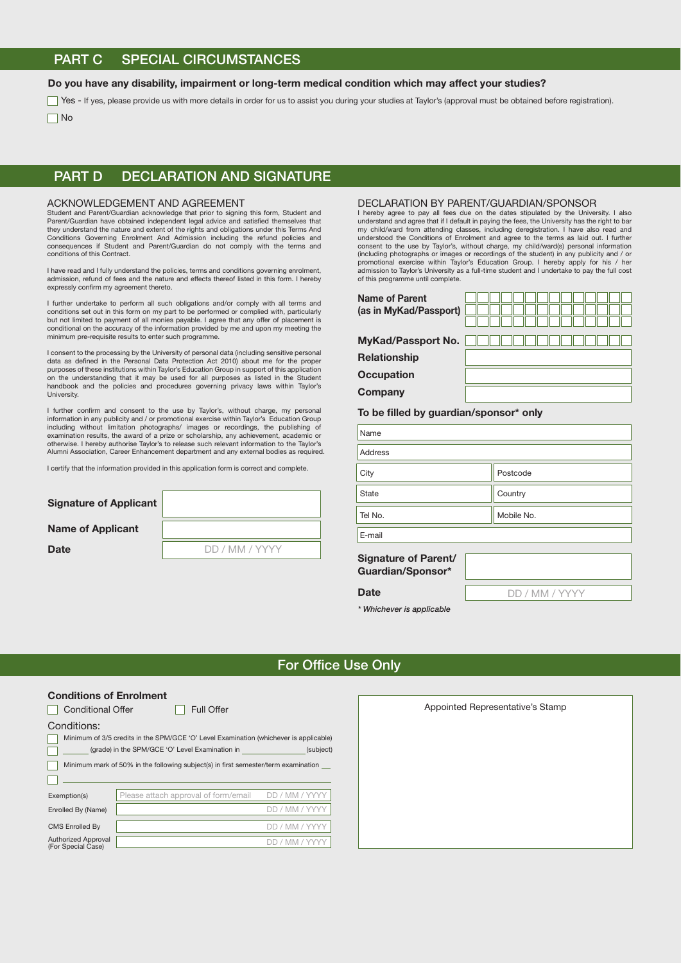# PART C SPECIAL CIRCUMSTANCES

## Do you have any disability, impairment or long-term medical condition which may affect your studies?

Yes - If yes, please provide us with more details in order for us to assist you during your studies at Taylor's (approval must be obtained before registration). No

Na

## PART D DECLARATION AND SIGNATURE

#### ACKNOWLEDGEMENT AND AGREEMENT

Student and Parent/Guardian acknowledge that prior to signing this form, Student and Parent/Guardian have obtained independent legal advice and satised themselves that they understand the nature and extent of the rights and obligations under this Terms And Conditions Governing Enrolment And Admission including the refund policies and consequences if Student and Parent/Guardian do not comply with the terms and conditions of this Contract.

I have read and I fully understand the policies, terms and conditions governing enrolment, admission, refund of fees and the nature and effects thereof listed in this form. I hereby expressly confirm my agreement thereto.

I further undertake to perform all such obligations and/or comply with all terms and conditions set out in this form on my part to be performed or complied with, particularly but not limited to payment of all monies payable. I agree that any offer of placement is conditional on the accuracy of the information provided by me and upon my meeting the minimum pre-requisite results to enter such programme.

I consent to the processing by the University of personal data (including sensitive personal data as defined in the Personal Data Protection Act 2010) about me for the proper<br>purposes of these institutions within Taylor's Education Group in support of this application on the understanding that it may be used for all purposes as listed in the Student handbook and the policies and procedures governing privacy laws within Taylor's University.

I further confirm and consent to the use by Taylor's, without charge, my personal information in any publicity and / or promotional exercise within Taylor's Education Group including without limitation photographs/ images or recordings, the publishing of examination results, the award of a prize or scholarship, any achievement, academic or otherwise. I hereby authorise Taylor's to release such relevant information to the Taylor's Alumni Association, Career Enhancement department and any external bodies as required.

I certify that the information provided in this application form is correct and complete.

| <b>Signature of Applicant</b> |                |
|-------------------------------|----------------|
| <b>Name of Applicant</b>      |                |
| Date                          | DD / MM / YYYY |

#### DECLARATION BY PARENT/GUARDIAN/SPONSOR

I hereby agree to pay all fees due on the dates stipulated by the University. I also understand and agree that if I default in paying the fees, the University has the right to bar my child/ward from attending classes, including deregistration. I have also read and understood the Conditions of Enrolment and agree to the terms as laid out. I further consent to the use by Taylor's, without charge, my child/ward(s) personal information (including photographs or images or recordings of the student) in any publicity and / or promotional exercise within Taylor's Education Group. I hereby apply for his / her admission to Taylor's University as a full-time student and I undertake to pay the full cost of this programme until complete.

| Name of Parent<br>(as in MyKad/Passport) |  |
|------------------------------------------|--|
| <b>MyKad/Passport No.</b>                |  |
| <b>Relationship</b>                      |  |
| <b>Occupation</b>                        |  |
| Company                                  |  |
| To be filled by guardian/sponsor* only   |  |
| Name                                     |  |

| Name                 |            |
|----------------------|------------|
| Address              |            |
| City                 | Postcode   |
| <b>State</b>         | Country    |
| Tel No.              | Mobile No. |
| E-mail               |            |
| Signature of Parent/ |            |

# Guardian/Sponsor\*

DD / MM / YYYY

*\* Whichever is applicable*

**Date** 

## For Office Use Only

## Conditions of Enrolment

| <b>Conditional Offer</b>                                                              |                                      | <b>Full Offer</b>                                                                     |  |  |
|---------------------------------------------------------------------------------------|--------------------------------------|---------------------------------------------------------------------------------------|--|--|
| Conditions:                                                                           |                                      |                                                                                       |  |  |
| Minimum of 3/5 credits in the SPM/GCE 'O' Level Examination (whichever is applicable) |                                      |                                                                                       |  |  |
| (grade) in the SPM/GCE 'O' Level Examination in<br>(subject)                          |                                      |                                                                                       |  |  |
|                                                                                       |                                      | Minimum mark of 50% in the following subject(s) in first semester/term examination __ |  |  |
|                                                                                       |                                      |                                                                                       |  |  |
| Exemption(s)                                                                          | Please attach approval of form/email | DD / MM / YYYY                                                                        |  |  |
| Enrolled By (Name)                                                                    |                                      | DD / MM / YY                                                                          |  |  |
| CMS Enrolled By                                                                       |                                      | DD / MM / YY                                                                          |  |  |
| <b>Authorized Approval</b><br>(For Special Case)                                      |                                      | DD / MM /                                                                             |  |  |

| <b>Full Offer</b>                                                                    | Appointed Representative's Stamp |
|--------------------------------------------------------------------------------------|----------------------------------|
| O' Level Examination (whichever is applicable)<br><b>Examination in</b><br>(subject) |                                  |
| bject(s) in first semester/term examination _                                        |                                  |
| val of form/email<br>DD / MM / YYYY                                                  |                                  |
| DD / MM / YYYY                                                                       |                                  |
| DD / MM / YYYY<br>DD / MM / YYYY                                                     |                                  |
|                                                                                      |                                  |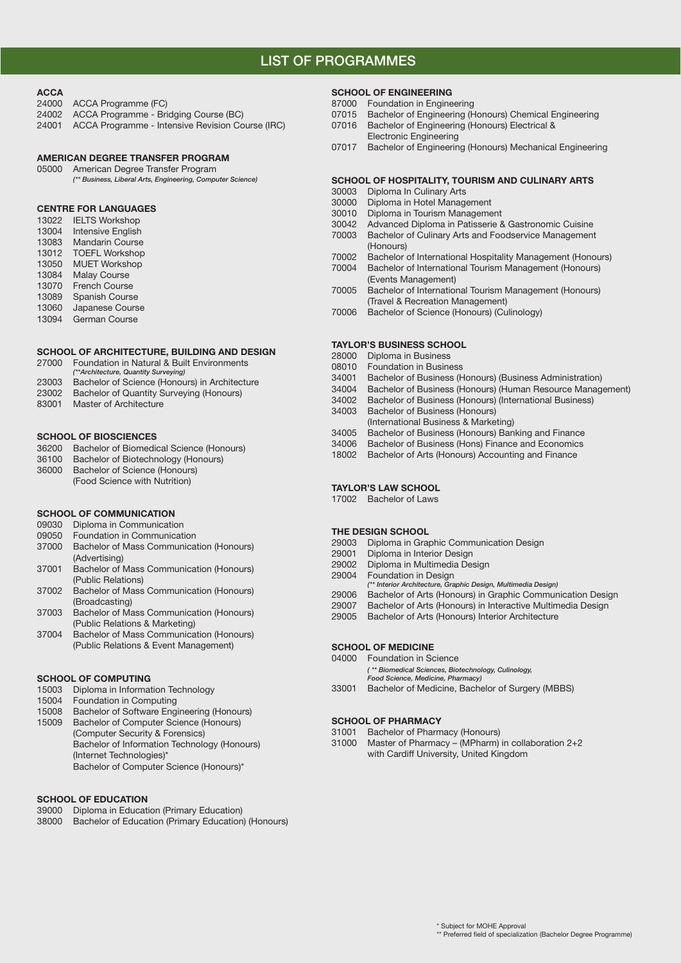# LIST OF PROGRAMMES

## **ACCA**

- 24000 ACCA Programme (FC)
- 24002 ACCA Programme Bridging Course (BC)
- 24001 ACCA Programme Intensive Revision Course (IRC)

#### AMERICAN DEGREE TRANSFER PROGRAM

## 05000 American Degree Transfer Program

*(\*\* Business, Liberal Arts, Engineering, Computer Science)*

## CENTRE FOR LANGUAGES

- 13022 IELTS Workshop<br>13004 Intensive English Intensive English 13083 Mandarin Course 13012 TOEFL Workshop 13050 MUET Workshop
- 13084 Malay Course
- 13070 French Course
- 13089 Spanish Course
- 13060 Japanese Course
- 13094 German Course

## SCHOOL OF ARCHITECTURE, BUILDING AND DESIGN

- 27000 Foundation in Natural & Built Environments
- *(\*\*Architecture, Quantity Surveying)* Bachelor of Science (Honours) in Architecture
- 23002 Bachelor of Quantity Surveying (Honours)
- 83001 Master of Architecture
- 

## SCHOOL OF BIOSCIENCES

- 36200 Bachelor of Biomedical Science (Honours)
- 36100 Bachelor of Biotechnology (Honours)
- 36000 Bachelor of Science (Honours)
	- (Food Science with Nutrition)

## SCHOOL OF COMMUNICATION

- 09030 Diploma in Communication
- 09050 Foundation in Communication
- 37000 Bachelor of Mass Communication (Honours)
- (Advertising)<br>37001 Bachelor of I Bachelor of Mass Communication (Honours) (Public Relations)
- 37002 Bachelor of Mass Communication (Honours) (Broadcasting)
- 37003 Bachelor of Mass Communication (Honours) (Public Relations & Marketing)
- 37004 Bachelor of Mass Communication (Honours) (Public Relations & Event Management)

## SCHOOL OF COMPUTING

- 15003 Diploma in Information Technology
- 15004 Foundation in Computing
- 15008 Bachelor of Software Engineering (Honours) 15009 Bachelor of Computer Science (Honours) (Computer Security & Forensics) Bachelor of Information Technology (Honours) (Internet Technologies)\* Bachelor of Computer Science (Honours)\*

## SCHOOL OF EDUCATION

- 39000 Diploma in Education (Primary Education)
- 38000 Bachelor of Education (Primary Education) (Honours)

## SCHOOL OF ENGINEERING

- 87000 Foundation in Engineering
- 07015 Bachelor of Engineering (Honours) Chemical Engineering
- 07016 Bachelor of Engineering (Honours) Electrical & Electronic Engineering
- 07017 Bachelor of Engineering (Honours) Mechanical Engineering

## SCHOOL OF HOSPITALITY, TOURISM AND CULINARY ARTS

- 30003 Diploma In Culinary Arts
- 30000 Diploma in Hotel Management
- 30010 Diploma in Tourism Management
- 30042 Advanced Diploma in Patisserie & Gastronomic Cuisine
- Bachelor of Culinary Arts and Foodservice Management (Honours)<br>T0002 Bachelor
- Bachelor of International Hospitality Management (Honours)
- 70004 Bachelor of International Tourism Management (Honours) (Events Management)
- 70005 Bachelor of International Tourism Management (Honours) (Travel & Recreation Management)
- 70006 Bachelor of Science (Honours) (Culinology)

## TAYLOR'S BUSINESS SCHOOL

- 28000 Diploma in Business<br>08010 Foundation in Busine
- Foundation in Business
- 34001 Bachelor of Business (Honours) (Business Administration)
- 34004 Bachelor of Business (Honours) (Human Resource Management)
- 34002 Bachelor of Business (Honours) (International Business) 34003 Bachelor of Business (Honours)
- (International Business & Marketing)
- 34005 Bachelor of Business (Honours) Banking and Finance
- 34006 Bachelor of Business (Hons) Finance and Economics
- 18002 Bachelor of Arts (Honours) Accounting and Finance

## TAYLOR'S LAW SCHOOL

17002 Bachelor of Laws

#### THE DESIGN SCHOOL

- 29003 Diploma in Graphic Communication Design
- 29001 Diploma in Interior Design
- 29002 Diploma in Multimedia Design
- 29004 Foundation in Design
- *(\*\* Interior Architecture, Graphic Design, Multimedia Design)*
- 29006 Bachelor of Arts (Honours) in Graphic Communication Design
- 29007 Bachelor of Arts (Honours) in Interactive Multimedia Design
- 29005 Bachelor of Arts (Honours) Interior Architecture

## SCHOOL OF MEDICINE

- 04000 Foundation in Science *( \*\* Biomedical Sciences, Biotechnology, Culinology,* 
	- *Food Science, Medicine, Pharmacy)*
- 33001 Bachelor of Medicine, Bachelor of Surgery (MBBS)

#### SCHOOL OF PHARMACY

- 31001 Bachelor of Pharmacy (Honours)
- 31000 Master of Pharmacy (MPharm) in collaboration 2+2 with Cardiff University, United Kingdom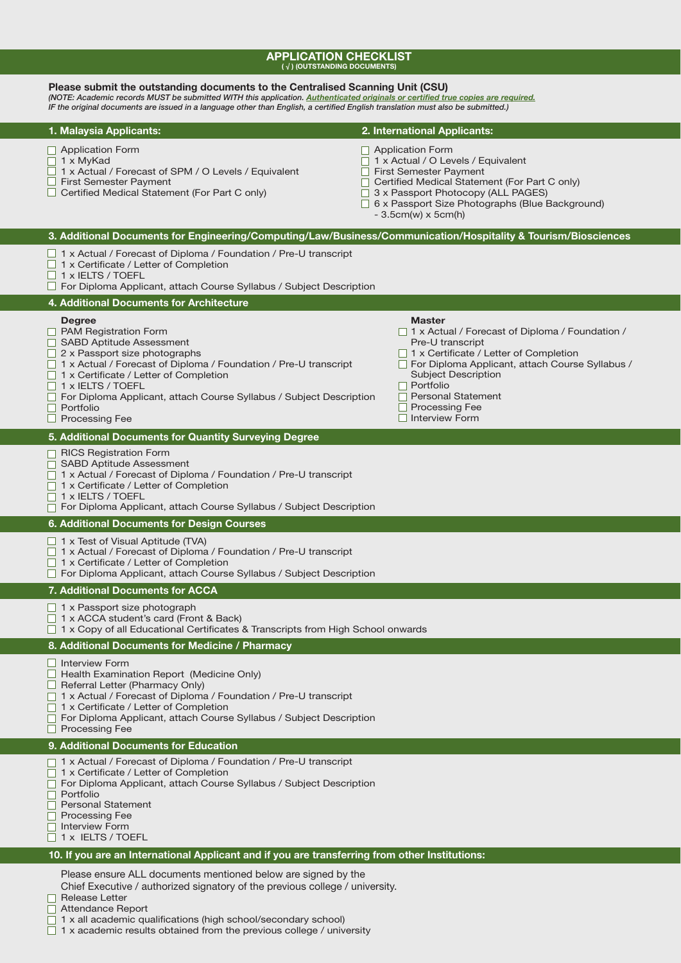# **APPLICATION CHECKLIST**<br>(√) (OUTSTANDING DOCUMENTS)

| Please submit the outstanding documents to the Centralised Scanning Unit (CSU)<br>(NOTE: Academic records MUST be submitted WITH this application. Authenticated originals or certified true copies are required.<br>IF the original documents are issued in a language other than English, a certified English translation must also be submitted.)                                              |                                                                                                                                                                                                                                                                                                            |
|---------------------------------------------------------------------------------------------------------------------------------------------------------------------------------------------------------------------------------------------------------------------------------------------------------------------------------------------------------------------------------------------------|------------------------------------------------------------------------------------------------------------------------------------------------------------------------------------------------------------------------------------------------------------------------------------------------------------|
| 1. Malaysia Applicants:                                                                                                                                                                                                                                                                                                                                                                           | 2. International Applicants:                                                                                                                                                                                                                                                                               |
| $\Box$ Application Form<br>$\Box$ 1 x MyKad<br>□ 1 x Actual / Forecast of SPM / O Levels / Equivalent<br>$\Box$ First Semester Payment<br>$\Box$ Certified Medical Statement (For Part C only)                                                                                                                                                                                                    | $\Box$ Application Form<br>1 x Actual / O Levels / Equivalent<br>First Semester Payment<br>□ Certified Medical Statement (For Part C only)<br>3 x Passport Photocopy (ALL PAGES)<br>$\Box$ 6 x Passport Size Photographs (Blue Background)<br>$-3.5cm(w) \times 5cm(h)$                                    |
| 3. Additional Documents for Engineering/Computing/Law/Business/Communication/Hospitality & Tourism/Biosciences                                                                                                                                                                                                                                                                                    |                                                                                                                                                                                                                                                                                                            |
| $\Box$ 1 x Actual / Forecast of Diploma / Foundation / Pre-U transcript<br>$\Box$ 1 x Certificate / Letter of Completion<br>$\Box$ 1 x IELTS / TOEFL<br>□ For Diploma Applicant, attach Course Syllabus / Subject Description                                                                                                                                                                     |                                                                                                                                                                                                                                                                                                            |
| 4. Additional Documents for Architecture                                                                                                                                                                                                                                                                                                                                                          |                                                                                                                                                                                                                                                                                                            |
| <b>Degree</b><br><b>PAM Registration Form</b><br>□ SABD Aptitude Assessment<br>$\Box$ 2 x Passport size photographs<br>$\Box$ 1 x Actual / Forecast of Diploma / Foundation / Pre-U transcript<br>$\Box$ 1 x Certificate / Letter of Completion<br>$\Box$ 1 x IELTS / TOEFL<br>□ For Diploma Applicant, attach Course Syllabus / Subject Description<br>$\Box$ Portfolio<br>$\Box$ Processing Fee | <b>Master</b><br>□ 1 x Actual / Forecast of Diploma / Foundation /<br>Pre-U transcript<br>□ 1 x Certificate / Letter of Completion<br>For Diploma Applicant, attach Course Syllabus /<br><b>Subject Description</b><br>$\Box$ Portfolio<br>□ Personal Statement<br><b>Processing Fee</b><br>Interview Form |
| 5. Additional Documents for Quantity Surveying Degree                                                                                                                                                                                                                                                                                                                                             |                                                                                                                                                                                                                                                                                                            |
| $\Box$ RICS Registration Form<br>□ SABD Aptitude Assessment<br>□ 1 x Actual / Forecast of Diploma / Foundation / Pre-U transcript<br>$\Box$ 1 x Certificate / Letter of Completion<br>$\Box$ 1 x IELTS / TOEFL<br>$\Box$ For Diploma Applicant, attach Course Syllabus / Subject Description                                                                                                      |                                                                                                                                                                                                                                                                                                            |
| 6. Additional Documents for Design Courses                                                                                                                                                                                                                                                                                                                                                        |                                                                                                                                                                                                                                                                                                            |
| $\Box$ 1 x Test of Visual Aptitude (TVA)<br>□ 1 x Actual / Forecast of Diploma / Foundation / Pre-U transcript<br>$\Box$ 1 x Certificate / Letter of Completion<br>$\Box$ For Diploma Applicant, attach Course Syllabus / Subject Description                                                                                                                                                     |                                                                                                                                                                                                                                                                                                            |
| 7. Additional Documents for ACCA                                                                                                                                                                                                                                                                                                                                                                  |                                                                                                                                                                                                                                                                                                            |
| $\Box$ 1 x Passport size photograph<br>$\Box$ 1 x ACCA student's card (Front & Back)<br>$\Box$ 1 x Copy of all Educational Certificates & Transcripts from High School onwards                                                                                                                                                                                                                    |                                                                                                                                                                                                                                                                                                            |
| 8. Additional Documents for Medicine / Pharmacy                                                                                                                                                                                                                                                                                                                                                   |                                                                                                                                                                                                                                                                                                            |
| Interview Form<br>$\Box$ Health Examination Report (Medicine Only)<br>$\Box$ Referral Letter (Pharmacy Only)<br>□ 1 x Actual / Forecast of Diploma / Foundation / Pre-U transcript<br>□ 1 x Certificate / Letter of Completion<br>□ For Diploma Applicant, attach Course Syllabus / Subject Description<br><b>Processing Fee</b>                                                                  |                                                                                                                                                                                                                                                                                                            |
| 9. Additional Documents for Education                                                                                                                                                                                                                                                                                                                                                             |                                                                                                                                                                                                                                                                                                            |
| □ 1 x Actual / Forecast of Diploma / Foundation / Pre-U transcript<br>□ 1 x Certificate / Letter of Completion<br>□ For Diploma Applicant, attach Course Syllabus / Subject Description<br>$\Box$ Portfolio<br>$\Box$ Personal Statement<br>$\Box$ Processing Fee<br>□ Interview Form<br>$\Box$ 1 x IELTS / TOEFL                                                                                 |                                                                                                                                                                                                                                                                                                            |
| 10. If you are an International Applicant and if you are transferring from other Institutions:                                                                                                                                                                                                                                                                                                    |                                                                                                                                                                                                                                                                                                            |
| Please ensure ALL documents mentioned below are signed by the                                                                                                                                                                                                                                                                                                                                     |                                                                                                                                                                                                                                                                                                            |

Chief Executive / authorized signatory of the previous college / university.

Release Letter

□ Attendance Report

1 x all academic qualifications (high school/secondary school)

1 x academic results obtained from the previous college / university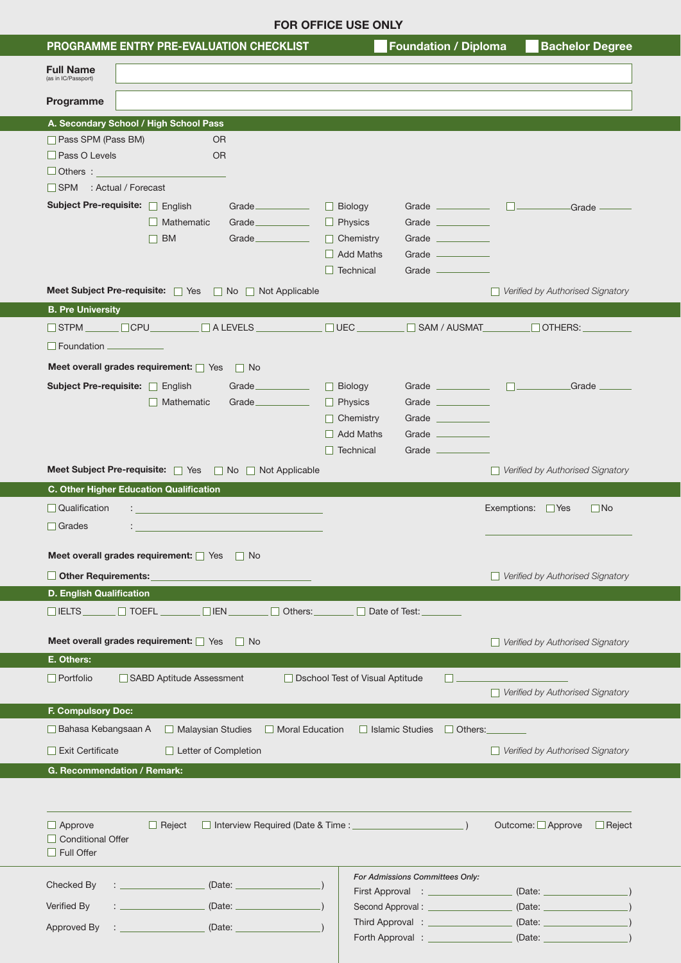|                                                                    |                          |                                           | <b>FOR OFFICE USE ONLY</b>                                                                   |                                                                                                    |                                                                                  |
|--------------------------------------------------------------------|--------------------------|-------------------------------------------|----------------------------------------------------------------------------------------------|----------------------------------------------------------------------------------------------------|----------------------------------------------------------------------------------|
| PROGRAMME ENTRY PRE-EVALUATION CHECKLIST                           |                          |                                           |                                                                                              | <b>Foundation / Diploma</b>                                                                        | <b>Bachelor Degree</b>                                                           |
| <b>Full Name</b><br>(as in IC/Passport)                            |                          |                                           |                                                                                              |                                                                                                    |                                                                                  |
| Programme                                                          |                          |                                           |                                                                                              |                                                                                                    |                                                                                  |
| A. Secondary School / High School Pass                             |                          |                                           |                                                                                              |                                                                                                    |                                                                                  |
| Pass SPM (Pass BM)<br>Pass O Levels<br>$\Box$ Others: $\Box$       | <b>OR</b><br><b>OR</b>   |                                           |                                                                                              |                                                                                                    |                                                                                  |
| SPM : Actual / Forecast                                            |                          |                                           |                                                                                              |                                                                                                    |                                                                                  |
| Subject Pre-requisite: Figlish                                     | Mathematic<br>$\Box$ BM  | Grade<br>Grade<br>Grade                   | $\Box$ Biology<br>$\Box$ Physics<br>$\Box$ Chemistry<br>$\Box$ Add Maths<br>$\Box$ Technical | Grade ___________<br>Grade ____________<br>Grade ____________<br>Grade ___________<br>Grade ______ | $\Box$ Grade $\Box$                                                              |
| Meet Subject Pre-requisite: 7 Yes 7 No 7 Not Applicable            |                          |                                           |                                                                                              |                                                                                                    | $\Box$ Verified by Authorised Signatory                                          |
| <b>B. Pre University</b>                                           |                          |                                           |                                                                                              |                                                                                                    |                                                                                  |
| STPM CPU ALEVELS                                                   |                          |                                           | $\square$ UEC $\_\_$                                                                         | $\Box$ SAM / AUSMAT                                                                                | $\Box$ Others: $\Box$                                                            |
| $\Box$ Foundation $\Box$                                           |                          |                                           |                                                                                              |                                                                                                    |                                                                                  |
| Meet overall grades requirement: Yes no                            |                          |                                           |                                                                                              |                                                                                                    |                                                                                  |
| Subject Pre-requisite: Figlish                                     | $\Box$ Mathematic        | Grade<br>Grade                            | $\Box$ Biology<br>$\Box$ Physics                                                             | Grade $\qquad \qquad \Box$<br>Grade ____________                                                   | Grade __                                                                         |
|                                                                    |                          |                                           | Chemistry                                                                                    | Grade ____________                                                                                 |                                                                                  |
|                                                                    |                          |                                           | $\Box$ Add Maths                                                                             | Grade _______                                                                                      |                                                                                  |
|                                                                    |                          |                                           | $\Box$ Technical                                                                             | Grade __________                                                                                   |                                                                                  |
| Meet Subject Pre-requisite: Ves No Not Applicable                  |                          |                                           |                                                                                              |                                                                                                    | $\Box$ Verified by Authorised Signatory                                          |
| C. Other Higher Education Qualification                            |                          |                                           |                                                                                              |                                                                                                    |                                                                                  |
|                                                                    |                          |                                           |                                                                                              |                                                                                                    |                                                                                  |
| $\Box$ Qualification<br>$\ddot{\phantom{a}}$<br>$\Box$ Grades<br>÷ |                          |                                           |                                                                                              |                                                                                                    | Exemptions:<br>$\Box$ No<br>$ $ Yes                                              |
| Meet overall grades requirement: Yes not                           |                          |                                           |                                                                                              |                                                                                                    |                                                                                  |
|                                                                    |                          |                                           |                                                                                              |                                                                                                    | $\Box$ Verified by Authorised Signatory                                          |
| $\Box$ Other Requirements:<br><b>D. English Qualification</b>      |                          |                                           |                                                                                              |                                                                                                    |                                                                                  |
| $\Box$ IELTS $\Box$ TOEFL $\Box$ $\Box$ IEN $\Box$ Others:         |                          |                                           | $\Box$ Date of Test:                                                                         |                                                                                                    |                                                                                  |
|                                                                    |                          |                                           |                                                                                              |                                                                                                    |                                                                                  |
| Meet overall grades requirement: Yes No                            |                          |                                           |                                                                                              |                                                                                                    | $\Box$ Verified by Authorised Signatory                                          |
| E. Others:<br>$\Box$ Portfolio                                     | SABD Aptitude Assessment |                                           |                                                                                              |                                                                                                    |                                                                                  |
|                                                                    |                          |                                           | □ Dschool Test of Visual Aptitude                                                            |                                                                                                    | $\Box$ Verified by Authorised Signatory                                          |
| F. Compulsory Doc:                                                 |                          |                                           |                                                                                              |                                                                                                    |                                                                                  |
| $\Box$ Bahasa Kebangsaan A                                         | Malaysian Studies        | Moral Education                           |                                                                                              | $\Box$ Islamic Studies<br>$\Box$ Others:                                                           |                                                                                  |
| $\Box$ Exit Certificate                                            | Letter of Completion     |                                           |                                                                                              |                                                                                                    | Verified by Authorised Signatory                                                 |
| G. Recommendation / Remark:                                        |                          |                                           |                                                                                              |                                                                                                    |                                                                                  |
|                                                                    |                          |                                           |                                                                                              |                                                                                                    |                                                                                  |
| $\Box$ Approve<br>$\Box$ Conditional Offer<br>$\Box$ Full Offer    | $\Box$ Reject            | □ Interview Required (Date & Time : _____ |                                                                                              |                                                                                                    | Outcome: □ Approve<br>$\Box$ Reject                                              |
|                                                                    |                          |                                           |                                                                                              | For Admissions Committees Only:                                                                    |                                                                                  |
| Checked By                                                         |                          |                                           |                                                                                              |                                                                                                    | (Date:                                                                           |
| Verified By                                                        |                          |                                           |                                                                                              | Second Approval : ______________                                                                   | (Date:                                                                           |
| Approved By                                                        |                          |                                           |                                                                                              |                                                                                                    | Forth Approval : __________________________ (Date: _____________________________ |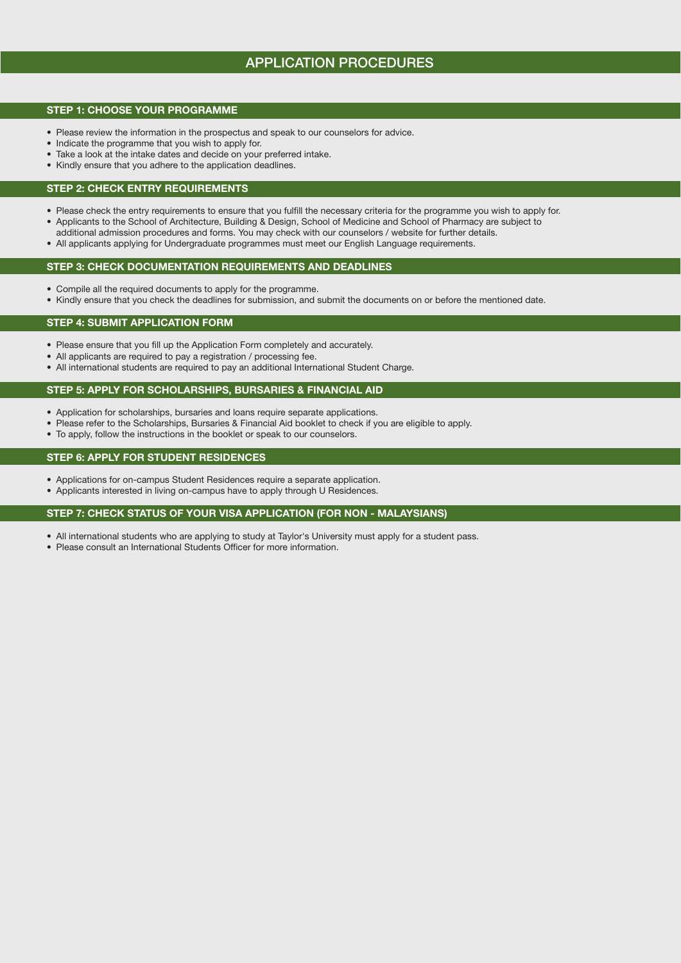# APPLICATION PROCEDURES

## STEP 1: CHOOSE YOUR PROGRAMME

- Please review the information in the prospectus and speak to our counselors for advice.
- Indicate the programme that you wish to apply for.
- Take a look at the intake dates and decide on your preferred intake.
- Kindly ensure that you adhere to the application deadlines.

## STEP 2: CHECK ENTRY REQUIREMENTS

- Please check the entry requirements to ensure that you fulfill the necessary criteria for the programme you wish to apply for.
- Applicants to the School of Architecture, Building & Design, School of Medicine and School of Pharmacy are subject to
- additional admission procedures and forms. You may check with our counselors / website for further details.
- All applicants applying for Undergraduate programmes must meet our English Language requirements.

## STEP 3: CHECK DOCUMENTATION REQUIREMENTS AND DEADLINES

- Compile all the required documents to apply for the programme.
- Kindly ensure that you check the deadlines for submission, and submit the documents on or before the mentioned date.

## STEP 4: SUBMIT APPLICATION FORM

- Please ensure that you fill up the Application Form completely and accurately.
- All applicants are required to pay a registration / processing fee.
- All international students are required to pay an additional International Student Charge.

## STEP 5: APPLY FOR SCHOLARSHIPS, BURSARIES & FINANCIAL AID

- Application for scholarships, bursaries and loans require separate applications.
- Please refer to the Scholarships, Bursaries & Financial Aid booklet to check if you are eligible to apply.
- To apply, follow the instructions in the booklet or speak to our counselors.

## STEP 6: APPLY FOR STUDENT RESIDENCES

- Applications for on-campus Student Residences require a separate application.
- Applicants interested in living on-campus have to apply through U Residences.

## STEP 7: CHECK STATUS OF YOUR VISA APPLICATION (FOR NON - MALAYSIANS)

- All international students who are applying to study at Taylor's University must apply for a student pass.
- Please consult an International Students Officer for more information.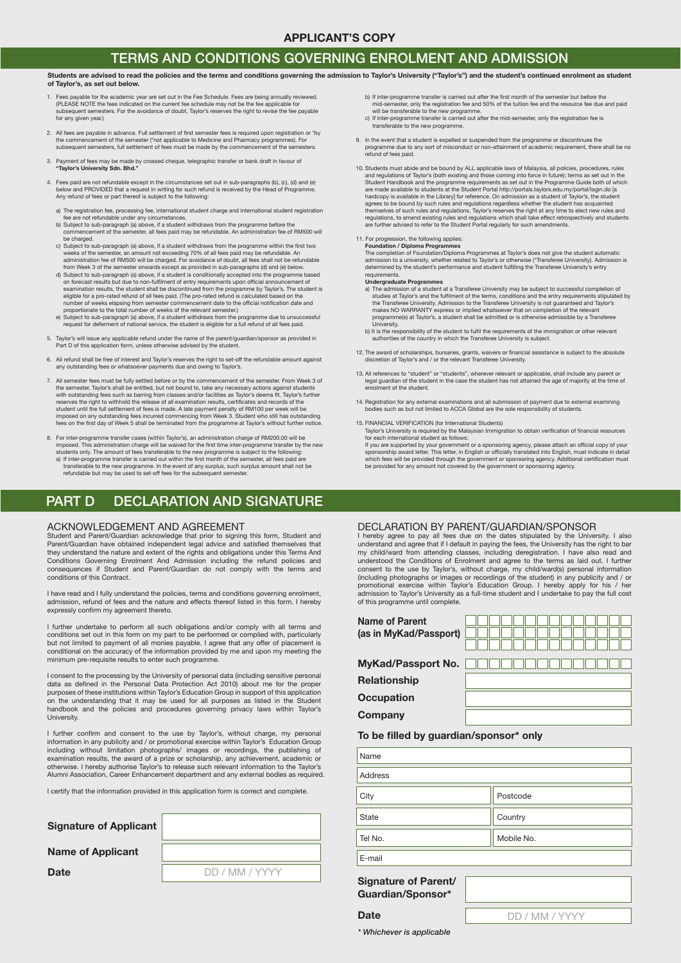# TERMS AND CONDITIONS GOVERNING ENROLMENT AND ADMISSION

#### Students are advised to read the policies and the terms and conditions governing the admission to Taylor's University ("Taylor's") and the student's continued enrolment as student of Taylor's, as set out below.

- 1. Fees payable for the academic year are set out in the Fee Schedule. Fees are being annually reviewed. (PLEASE NOTE the fees indicated on the current fee schedule may not be the fee applicable for subsequent semesters. For the avoidance of doubt, Taylor's reserves the right to revise the fee payable for any given year.)
- 2. All fees are payable in advance. Full settlement of first semester fees is required upon registration or \*by the commencement of the semester (\*not applicable to Medicine and Pharmacy programmes). For subsequent semesters, full settlement of fees must be made by the commencement of the semesters.
- 3. Payment of fees may be made by crossed cheque, telegraphic transfer or bank draft in favour of "Taylor's University Sdn. Bhd."
- 4. Fees paid are not refundable except in the circumstances set out in sub-paragraphs (b), (c), (d) and (e) below and PROVIDED that a request in writing for such refund is received by the Head of Programme. Any refund of fees or part thereof is subject to the following:
- a) The registration fee, processing fee, international student charge and international student registration
- fee are not refundable under any circumstances.<br>b) Subject to sub-paragraph (a) above, if a student withdraws from the programme before the<br>commencement of the semester, all fees paid may be refundable. An administration f be charged.
- c) Subject to sub-paragraph (a) above, if a student withdraws from the programme within the first two<br>weeks of the semester, an amount not exceeding 70% of all fees paid may be refundable. An<br>administration fee of RM500 wi
- d) Subject to sub-paragraph (a) above, if a student is conditionally accepted into the programme based<br>on forecast results but due to non-fulfilment of entry requirements upon official announcement of<br>examination results, number of weeks elapsing from semester commencement date to the official notification date and
- proportionate to the total number of weeks of the relevant semester.)<br>e) Subject to sub-paragraph (a) above, if a student withdraws from the programme due to unsuccessful<br>request for deferment of national service, the stud
- 5. Taylor's will issue any applicable refund under the name of the parent/guardian/sponsor as provided in Part D of this application form, unless otherwise advised by the student.
- 6. All refund shall be free of interest and Taylor's reserves the right to set-off the refundable amount against any outstanding fees or whatsoever payments due and owing to Taylor's.
- 7. All semester fees must be fully settled before or by the commencement of the semester. From Week 3 of the semester, Taylor's shall be entitled, but not bound to, take any necessary actions against students<br>with outstand reserves the right to withhold the release of all examination results, certificates and records of the student until the full settlement of fees is made. A late payment penalty of RM100 per week will be<br>imposed on any outstanding fees incurred commencing from Week 3. Student who still has outstanding<br>fees on the first day o
- 8. For inter-programme transfer cases (within Taylor's), an administration charge of RM200.00 will be imposed. This administration charge will be waived for the first time inter-programme transfer by the new<br>students only. The amount of fees transferable to the new programme is subject to the following:<br>a) If inter-program

## PART D DECLARATION AND SIGNATURE

#### ACKNOWLEDGEMENT AND AGREEMENT

Student and Parent/Guardian acknowledge that prior to signing this form, Student and Parent/Guardian have obtained independent legal advice and satisfied themselves that they understand the nature and extent of the rights and obligations under this Terms And Conditions Governing Enrolment And Admission including the refund policies and consequences if Student and Parent/Guardian do not comply with the terms and conditions of this Contract.

I have read and I fully understand the policies, terms and conditions governing enrolment, admission, refund of fees and the nature and effects thereof listed in this form. I hereby expressly confirm my agreement thereto.

I further undertake to perform all such obligations and/or comply with all terms and conditions set out in this form on my part to be performed or complied with, particularly but not limited to payment of all monies payable. I agree that any offer of placement is conditional on the accuracy of the information provided by me and upon my meeting the minimum pre-requisite results to enter such programme.

I consent to the processing by the University of personal data (including sensitive personal<br>data as defined in the Personal Data Protection Act 2010) about me for the proper purposes of these institutions within Taylor's Education Group in support of this application on the understanding that it may be used for all purposes as listed in the Student handbook and the policies and procedures governing privacy laws within Taylor's University.

I further confirm and consent to the use by Taylor's, without charge, my personal<br>information in any publicity and / or promotional exercise within Taylor's Education Group including without limitation photographs/ images or recordings, the publishing of examination results, the award of a prize or scholarship, any achievement, academic or otherwise. I hereby authorise Taylor's to release such relevant information to the Taylor's Alumni Association, Career Enhancement department and any external bodies as required.

I certify that the information provided in this application form is correct and complete.

| <b>Signature of Applicant</b> |                |
|-------------------------------|----------------|
| <b>Name of Applicant</b>      |                |
| <b>Date</b>                   | DD / MM / YYYY |

- b) If inter-programme transfer is carried out after the first month of the semester but before the
- mid-semester, only the registration fee and 50% of the tuition fee and the resource fee due and paid<br>will be transferable to the new programme.<br>c) If inter-programme transfer is carried out after the mid-semester, only the
- 9. In the event that a student is expelled or suspended from the programme or discontinues the programme due to any sort of misconduct or non-attainment of academic requirement, there shall be no refund of fees paid.
- 10. Students must abide and be bound by ALL applicable laws of Malaysia, all policies, procedures, rules and regulations of Taylor's (both existing and those coming into force in future); terms as set out in the<br>Student Handbook and the programme requirements as set out in the Programme Guide both of which<br>are made available hardcopy is available in the Library] for reference. On admission as a student of Taylor's, the student<br>agrees to be bound by such rules and regulations regardless whether the student has acquainted<br>themselves of such rule

#### 11. For progression, the following applies:

Foundation / Diploma Programmes<br>The completion of Foundation/Diploma Programmes at Taylor's does not give the student automatic<br>admission to a university, whether related to Taylor's or otherwise ("Transferee University).

- requirements.<br>Undergraduate Programmes<br>a) The admission of a student at a Transferee University may be subject to successful completion of<br>studies at Taylor's and the fulfilment of the terms, conditions and the entry requi the Transferee University. Admission to the Transferee University is not guaranteed and Taylor's makes NO WARRANTY express or implied whatsoever that on completion of the relevant programme(s) at Taylor's, a student shall be admitted or is otherwise admissible by a Transferee University.
- b) It is the responsibility of the student to fulfil the requirements of the immigration or other relevant<br>authorities of the country in which the Transferee University is subject.
- 12. The award of scholarships, bursaries, grants, waivers or nancial assistance is subject to the absolute discretion of Taylor's and / or the relevant Transferee University.
- 13. All references to "student" or "students", wherever relevant or applicable, shall include any parent or legal guardian of the student in the case the student has not attained the age of majority at the time of enrolment of the student.
- 14. Registration for any external examinations and all submission of payment due to external examining es such as but not limited to ACCA Global are the sole responsibility of students
- 15. FINANCIAL VERIFICATION (for International Students)

Taylor's University is required by the Malaysian Immigration to obtain verification of financial resources<br>for each international student as follows:

If you are supported by your government or a sponsoring agency, please attach an official copy of your<br>sponsorship award letter. This letter, in English or officially translated into English, must indicate in detail<br>which

#### DECLARATION BY PARENT/GUARDIAN/SPONSOR

I hereby agree to pay all fees due on the dates stipulated by the University. I also understand and agree that if I default in paying the fees, the University has the right to bar my child/ward from attending classes, including deregistration. I have also read and understood the Conditions of Enrolment and agree to the terms as laid out. I further consent to the use by Taylor's, without charge, my child/ward(s) personal information (including photographs or images or recordings of the student) in any publicity and / or promotional exercise within Taylor's Education Group. I hereby apply for his / her admission to Taylor's University as a full-time student and I undertake to pay the full cost of this programme until complete.

| <b>Name of Parent</b>                  |  |
|----------------------------------------|--|
| (as in MyKad/Passport)                 |  |
|                                        |  |
| <b>MyKad/Passport No.</b>              |  |
| <b>Relationship</b>                    |  |
| <b>Occupation</b>                      |  |
| <b>Company</b>                         |  |
| To ha filled by augustan/anoncent only |  |

#### To be filled by guardian/sponsor\* only

| Name         |            |
|--------------|------------|
| Address      |            |
| City         | Postcode   |
| <b>State</b> | Country    |
| Tel No.      | Mobile No. |
| E-mail       |            |

Signature of Parent/ Guardian/Sponsor\*

DD / MM / YYYY

*\* Whichever is applicable*

**Date**